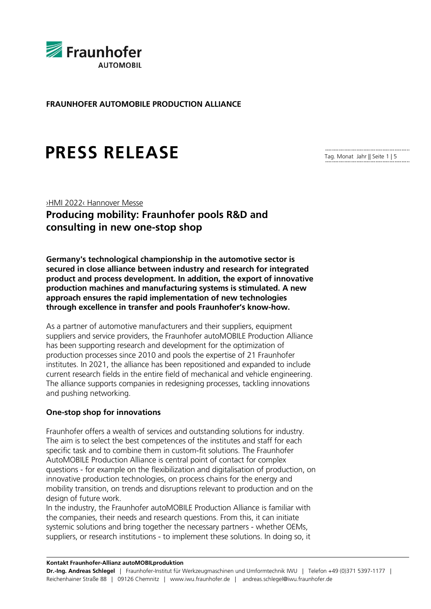

**FRAUNHOFER AUTOMOBILE PRODUCTION ALLIANCE**

# **PRESS RELEASE**

Tag. Monat Jahr || Seite 1 | 5

# ›HMI 2022‹ Hannover Messe **Producing mobility: Fraunhofer pools R&D and consulting in new one-stop shop**

**Germany's technological championship in the automotive sector is secured in close alliance between industry and research for integrated product and process development. In addition, the export of innovative production machines and manufacturing systems is stimulated. A new approach ensures the rapid implementation of new technologies through excellence in transfer and pools Fraunhofer's know-how.**

As a partner of automotive manufacturers and their suppliers, equipment suppliers and service providers, the Fraunhofer autoMOBILE Production Alliance has been supporting research and development for the optimization of production processes since 2010 and pools the expertise of 21 Fraunhofer institutes. In 2021, the alliance has been repositioned and expanded to include current research fields in the entire field of mechanical and vehicle engineering. The alliance supports companies in redesigning processes, tackling innovations and pushing networking.

### **One-stop shop for innovations**

Fraunhofer offers a wealth of services and outstanding solutions for industry. The aim is to select the best competences of the institutes and staff for each specific task and to combine them in custom-fit solutions. The Fraunhofer AutoMOBILE Production Alliance is central point of contact for complex questions - for example on the flexibilization and digitalisation of production, on innovative production technologies, on process chains for the energy and mobility transition, on trends and disruptions relevant to production and on the design of future work.

In the industry, the Fraunhofer autoMOBILE Production Alliance is familiar with the companies, their needs and research questions. From this, it can initiate systemic solutions and bring together the necessary partners - whether OEMs, suppliers, or research institutions - to implement these solutions. In doing so, it

#### **Kontakt Fraunhofer-Allianz autoMOBILproduktion**